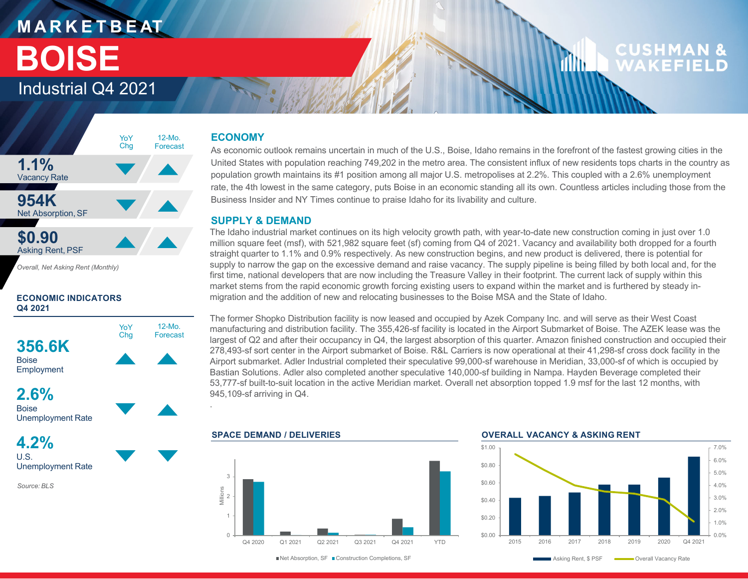## **M A R K E T B E AT BOISE**

### Industrial Q4 2021



*Overall, Net Asking Rent (Monthly)*

#### **ECONOMIC INDICATORS Q4 2021**



**4.2%**U.S.Unemployment Rate

*Source: BLS*

#### **ECONOMY**

As economic outlook remains uncertain in much of the U.S., Boise, Idaho remains in the forefront of the fastest growing cities in the United States with population reaching 749,202 in the metro area. The consistent influx of new residents tops charts in the country as population growth maintains its #1 position among all major U.S. metropolises at 2.2%. This coupled with a 2.6% unemployment rate, the 4th lowest in the same category, puts Boise in an economic standing all its own. Countless articles including those from the Business Insider and NY Times continue to praise Idaho for its livability and culture.

#### **SUPPLY & DEMAND**

The Idaho industrial market continues on its high velocity growth path, with year-to-date new construction coming in just over 1.0 million square feet (msf), with 521,982 square feet (sf) coming from Q4 of 2021. Vacancy and availability both dropped for a fourth straight quarter to 1.1% and 0.9% respectively. As new construction begins, and new product is delivered, there is potential for supply to narrow the gap on the excessive demand and raise vacancy. The supply pipeline is being filled by both local and, for the first time, national developers that are now including the Treasure Valley in their footprint. The current lack of supply within this market stems from the rapid economic growth forcing existing users to expand within the market and is furthered by steady inmigration and the addition of new and relocating businesses to the Boise MSA and the State of Idaho.

The former Shopko Distribution facility is now leased and occupied by Azek Company Inc. and will serve as their West Coast manufacturing and distribution facility. The 355,426-sf facility is located in the Airport Submarket of Boise. The AZEK lease was the largest of Q2 and after their occupancy in Q4, the largest absorption of this quarter. Amazon finished construction and occupied their 278,493-sf sort center in the Airport submarket of Boise. R&L Carriers is now operational at their 41,298-sf cross dock facility in the Airport submarket. Adler Industrial completed their speculative 99,000-sf warehouse in Meridian, 33,000-sf of which is occupied by Bastian Solutions. Adler also completed another speculative 140,000-sf building in Nampa. Hayden Beverage completed their 53,777-sf built-to-suit location in the active Meridian market. Overall net absorption topped 1.9 msf for the last 12 months, with 945,109-sf arriving in Q4.





Net Absorption, SF Construction Completions, SF



dlln.



**CUSHMAN 8** 

WAKFFIFLD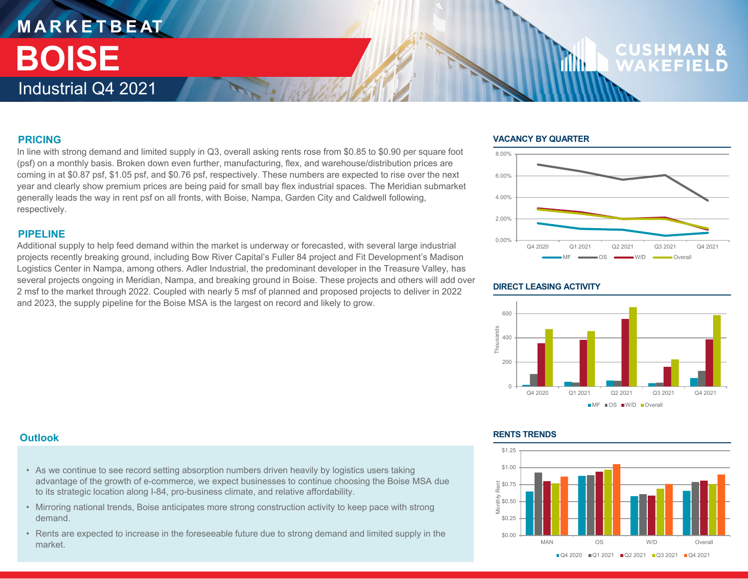### **M A R K E T B E AT** Industrial Q4 2021 **BOISE**

## **CUSHM**

#### **PRICING**

In line with strong demand and limited supply in Q3, overall asking rents rose from \$0.85 to \$0.90 per square foot (psf) on a monthly basis. Broken down even further, manufacturing, flex, and warehouse/distribution prices are coming in at \$0.87 psf, \$1.05 psf, and \$0.76 psf, respectively. These numbers are expected to rise over the next year and clearly show premium prices are being paid for small bay flex industrial spaces. The Meridian submarket generally leads the way in rent psf on all fronts, with Boise, Nampa, Garden City and Caldwell following, respectively.

#### **PIPELINE**

Additional supply to help feed demand within the market is underway or forecasted, with several large industrial projects recently breaking ground, including Bow River Capital's Fuller 84 project and Fit Development's Madison Logistics Center in Nampa, among others. Adler Industrial, the predominant developer in the Treasure Valley, has several projects ongoing in Meridian, Nampa, and breaking ground in Boise. These projects and others will add over 2 msf to the market through 2022. Coupled with nearly 5 msf of planned and proposed projects to deliver in 2022 and 2023, the supply pipeline for the Boise MSA is the largest on record and likely to grow.

#### **VACANCY BY QUARTER**

1Mb



#### **DIRECT LEASING ACTIVITY**



#### **Outlook**

- As we continue to see record setting absorption numbers driven heavily by logistics users taking advantage of the growth of e-commerce, we expect businesses to continue choosing the Boise MSA due to its strategic location along I-84, pro-business climate, and relative affordability.
- Mirroring national trends, Boise anticipates more strong construction activity to keep pace with strong demand.
- Rents are expected to increase in the foreseeable future due to strong demand and limited supply in the market.

#### **RENTS TRENDS**

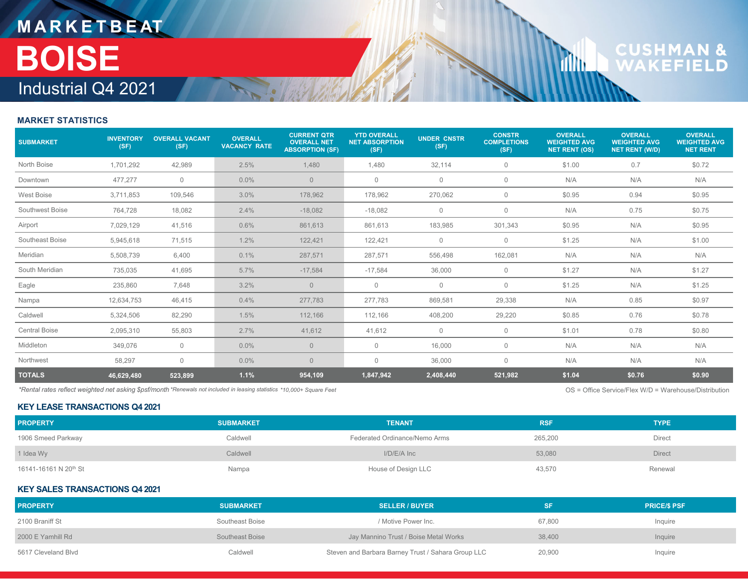### **M A R K E T B E AT** Industrial Q4 2021 **BOISE**

# **CUSHMAN &**<br>WAKEFIELD

**Tillu** 

#### **MARKET STATISTICS**

| <b>SUBMARKET</b>     | <b>INVENTORY</b><br>(SF) | <b>OVERALL VACANT</b><br>(SF) | <b>OVERALL</b><br><b>VACANCY RATE</b> | <b>CURRENT QTR</b><br><b>OVERALL NET</b><br><b>ABSORPTION (SF)</b> | <b>YTD OVERALL</b><br><b>NET ABSORPTION</b><br>(SF) | <b>UNDER CNSTR</b><br>(SF) | <b>CONSTR</b><br><b>COMPLETIONS</b><br>(SF) | <b>OVERALL</b><br><b>WEIGHTED AVG</b><br><b>NET RENT (OS)</b> | <b>OVERALL</b><br><b>WEIGHTED AVG</b><br><b>NET RENT (W/D)</b> | <b>OVERALL</b><br><b>WEIGHTED AVG</b><br><b>NET RENT</b> |
|----------------------|--------------------------|-------------------------------|---------------------------------------|--------------------------------------------------------------------|-----------------------------------------------------|----------------------------|---------------------------------------------|---------------------------------------------------------------|----------------------------------------------------------------|----------------------------------------------------------|
| North Boise          | 1,701,292                | 42,989                        | 2.5%                                  | 1,480                                                              | 1,480                                               | 32,114                     | 0                                           | \$1.00                                                        | 0.7                                                            | \$0.72                                                   |
| Downtown             | 477,277                  | $\circ$                       | $0.0\%$                               | $\overline{0}$                                                     | $\mathbf{0}$                                        | $\mathbf{0}$               | $\mathbf 0$                                 | N/A                                                           | N/A                                                            | N/A                                                      |
| <b>West Boise</b>    | 3,711,853                | 109,546                       | 3.0%                                  | 178,962                                                            | 178,962                                             | 270,062                    | 0                                           | \$0.95                                                        | 0.94                                                           | \$0.95                                                   |
| Southwest Boise      | 764,728                  | 18,082                        | 2.4%                                  | $-18,082$                                                          | $-18,082$                                           | $\mathbf 0$                | $\mathbf 0$                                 | N/A                                                           | 0.75                                                           | \$0.75                                                   |
| Airport              | 7,029,129                | 41,516                        | 0.6%                                  | 861,613                                                            | 861,613                                             | 183,985                    | 301,343                                     | \$0.95                                                        | N/A                                                            | \$0.95                                                   |
| Southeast Boise      | 5,945,618                | 71,515                        | 1.2%                                  | 122,421                                                            | 122,421                                             | $\mathbf 0$                | $\mathbf 0$                                 | \$1.25                                                        | N/A                                                            | \$1.00                                                   |
| Meridian             | 5,508,739                | 6,400                         | 0.1%                                  | 287,571                                                            | 287,571                                             | 556,498                    | 162,081                                     | N/A                                                           | N/A                                                            | N/A                                                      |
| South Meridian       | 735,035                  | 41,695                        | 5.7%                                  | $-17,584$                                                          | $-17,584$                                           | 36,000                     | $\mathbf 0$                                 | \$1.27                                                        | N/A                                                            | \$1.27                                                   |
| Eagle                | 235,860                  | 7,648                         | 3.2%                                  | $\overline{0}$                                                     | 0                                                   | $\mathbf 0$                | $\Omega$                                    | \$1.25                                                        | N/A                                                            | \$1.25                                                   |
| Nampa                | 12,634,753               | 46,415                        | 0.4%                                  | 277,783                                                            | 277,783                                             | 869,581                    | 29,338                                      | N/A                                                           | 0.85                                                           | \$0.97                                                   |
| Caldwell             | 5,324,506                | 82,290                        | 1.5%                                  | 112,166                                                            | 112,166                                             | 408,200                    | 29,220                                      | \$0.85                                                        | 0.76                                                           | \$0.78                                                   |
| <b>Central Boise</b> | 2,095,310                | 55,803                        | 2.7%                                  | 41,612                                                             | 41,612                                              | $\mathbf 0$                | $\mathbf 0$                                 | \$1.01                                                        | 0.78                                                           | \$0.80                                                   |
| Middleton            | 349,076                  | $\overline{0}$                | $0.0\%$                               | $\overline{0}$                                                     | $\mathbf 0$                                         | 16,000                     | 0                                           | N/A                                                           | N/A                                                            | N/A                                                      |
| Northwest            | 58,297                   | $\mathbf{0}$                  | 0.0%                                  | $\overline{0}$                                                     | $\mathbf 0$                                         | 36,000                     | $\Omega$                                    | N/A                                                           | N/A                                                            | N/A                                                      |
| <b>TOTALS</b>        | 46,629,480               | 523,899                       | 1.1%                                  | 954,109                                                            | 1,847,942                                           | 2,408,440                  | 521,982                                     | \$1.04                                                        | \$0.76                                                         | \$0.90                                                   |

*\*Rental rates reflect weighted net asking \$psf/month \*Renewals not included in leasing statistics* OS = Office Service/Flex W/D = Warehouse/Distribution *\*10,000+ Square Feet*

#### **KEY LEASE TRANSACTIONS Q4 2021**

| <b>PROPERTY</b>                   | <b>SUBMARKET</b> | <b>TENANT</b>                 | <b>RSF</b> | <b>TYPE</b>   |
|-----------------------------------|------------------|-------------------------------|------------|---------------|
| 1906 Smeed Parkway                | Caldwell         | Federated Ordinance/Nemo Arms | 265,200    | Direct        |
| 1 Idea Wy                         | Caldwell         | $I/D/E/A$ Inc                 | 53,080     | <b>Direct</b> |
| 16141-16161 N 20 <sup>th</sup> St | Nampa            | House of Design LLC           | 43,570     | Renewal       |

#### **KEY SALES TRANSACTIONS Q4 2021**

| <b>PROPERTY</b>     | <b>SUBMARKET</b> | <b>SELLER / BUYER</b>                              |        | <b>PRICE/S PSF</b> |
|---------------------|------------------|----------------------------------------------------|--------|--------------------|
| 2100 Braniff St     | Southeast Boise  | / Motive Power Inc.                                | 67,800 | Inquire            |
| 2000 E Yamhill Rd   | Southeast Boise  | Jay Mannino Trust / Boise Metal Works              | 38,400 | Inquire            |
| 5617 Cleveland Blvd | Caldwell         | Steven and Barbara Barney Trust / Sahara Group LLC | 20,900 | Inquire            |